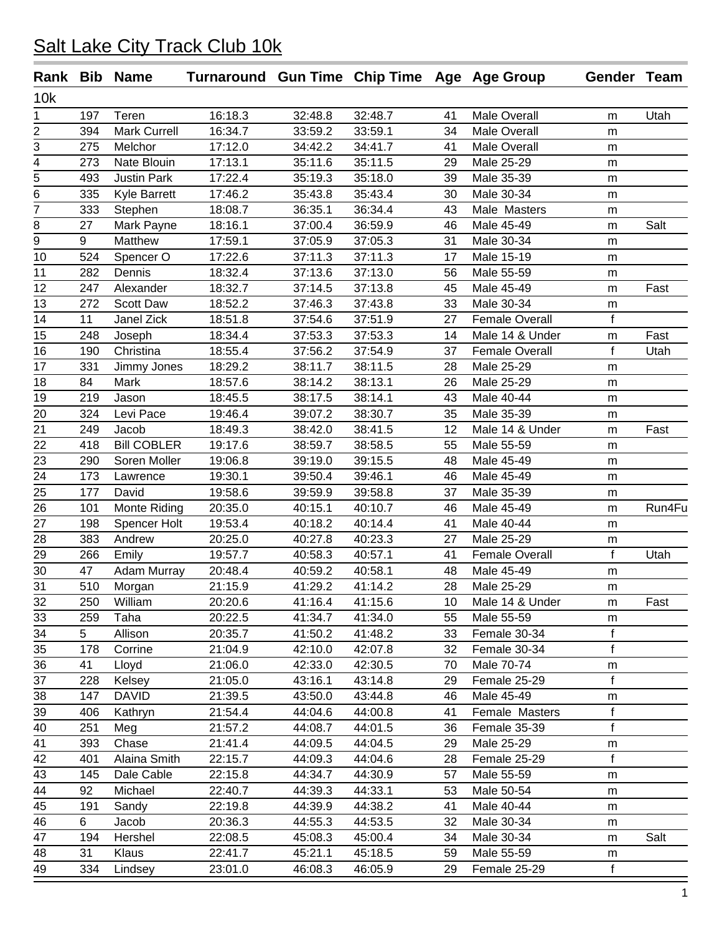|                |     | Rank Bib Name       | Turnaround Gun Time Chip Time Age Age Group |                    |                      |    |                          | Gender Team  |        |
|----------------|-----|---------------------|---------------------------------------------|--------------------|----------------------|----|--------------------------|--------------|--------|
| 10k            |     |                     |                                             |                    |                      |    |                          |              |        |
| 1              | 197 | Teren               | 16:18.3                                     | 32:48.8            | 32:48.7              | 41 | <b>Male Overall</b>      | m            | Utah   |
| 2              | 394 | <b>Mark Currell</b> | 16:34.7                                     | 33:59.2            | 33:59.1              | 34 | Male Overall             | m            |        |
| 3              | 275 | Melchor             | 17:12.0                                     | 34:42.2            | 34:41.7              | 41 | Male Overall             | m            |        |
| 4              | 273 | Nate Blouin         | 17:13.1                                     | 35:11.6            | 35:11.5              | 29 | Male 25-29               | m            |        |
| 5              | 493 | <b>Justin Park</b>  | 17:22.4                                     | 35:19.3            | 35:18.0              | 39 | Male 35-39               | m            |        |
| 6              | 335 | Kyle Barrett        | 17:46.2                                     | 35:43.8            | 35:43.4              | 30 | Male 30-34               | m            |        |
| 7              | 333 | Stephen             | 18:08.7                                     | 36:35.1            | 36:34.4              | 43 | Male Masters             | ${\sf m}$    |        |
| 8              | 27  | Mark Payne          | 18:16.1                                     | 37:00.4            | 36:59.9              | 46 | Male 45-49               | ${\sf m}$    | Salt   |
| $\overline{9}$ | 9   | Matthew             | 17:59.1                                     | 37:05.9            | 37:05.3              | 31 | Male 30-34               | m            |        |
| 10             | 524 | Spencer O           | 17:22.6                                     | 37:11.3            | 37:11.3              | 17 | Male 15-19               | m            |        |
| 11             | 282 | Dennis              | 18:32.4                                     | 37:13.6            | $37:13.\overline{0}$ | 56 | Male 55-59               | m            |        |
| 12             | 247 | Alexander           | 18:32.7                                     | 37:14.5            | 37:13.8              | 45 | Male 45-49               | m            | Fast   |
| 13             | 272 | Scott Daw           | 18:52.2                                     | 37:46.3            | 37:43.8              | 33 | Male 30-34               | ${\sf m}$    |        |
| 14             | 11  | Janel Zick          | 18:51.8                                     | 37:54.6            | 37:51.9              | 27 | <b>Female Overall</b>    | f            |        |
| 15             | 248 | Joseph              | 18:34.4                                     | 37:53.3            | 37:53.3              | 14 | Male 14 & Under          | ${\sf m}$    | Fast   |
| 16             | 190 | Christina           | 18:55.4                                     | 37:56.2            | 37:54.9              | 37 | <b>Female Overall</b>    | $\mathsf{f}$ | Utah   |
| 17             | 331 | Jimmy Jones         | 18:29.2                                     | 38:11.7            | 38:11.5              | 28 | Male 25-29               | m            |        |
| 18             | 84  | Mark                | 18:57.6                                     | 38:14.2            | 38:13.1              | 26 | Male 25-29               | m            |        |
| 19             | 219 | Jason               | 18:45.5                                     | 38:17.5            | 38:14.1              | 43 | Male 40-44               | m            |        |
| 20             | 324 | Levi Pace           | 19:46.4                                     | 39:07.2            | 38:30.7              | 35 | Male 35-39               | ${\sf m}$    |        |
| 21             | 249 | Jacob               | 18:49.3                                     | 38:42.0            | 38:41.5              | 12 | Male 14 & Under          | ${\sf m}$    | Fast   |
| 22             | 418 | <b>Bill COBLER</b>  | 19:17.6                                     | 38:59.7            | 38:58.5              | 55 | Male 55-59               | m            |        |
| 23             | 290 | Soren Moller        | 19:06.8                                     | 39:19.0            | 39:15.5              | 48 | Male 45-49               | m            |        |
| 24             | 173 | Lawrence            | 19:30.1                                     | 39:50.4            | 39:46.1              | 46 | Male 45-49               | m            |        |
| 25             | 177 | David               | 19:58.6                                     | 39:59.9            | 39:58.8              | 37 | Male 35-39               | m            |        |
| 26             | 101 | Monte Riding        | 20:35.0                                     | 40:15.1            | 40:10.7              | 46 | Male 45-49               | ${\sf m}$    | Run4Fu |
| 27             | 198 | Spencer Holt        | 19:53.4                                     | 40:18.2            | 40:14.4              | 41 | Male 40-44               | m            |        |
| 28             | 383 | Andrew              | 20:25.0                                     | 40:27.8            | 40:23.3              | 27 | Male 25-29               | m            |        |
| 29             | 266 | Emily               | 19:57.7                                     | 40:58.3            | 40:57.1              | 41 | <b>Female Overall</b>    | f            | Utah   |
| 30             | 47  | Adam Murray         | 20:48.4                                     | 40:59.2            | 40:58.1              | 48 | Male 45-49               | m            |        |
| 31             | 510 | Morgan              | 21:15.9                                     | 41:29.2            | 41:14.2              | 28 | Male 25-29               | m            |        |
| 32             | 250 | William             | 20:20.6                                     | 41:16.4            | 41:15.6              | 10 | Male 14 & Under          | m            | Fast   |
| 33             | 259 | Taha                | 20:22.5                                     | 41:34.7            | 41:34.0              | 55 | Male 55-59               | m            |        |
| 34             | 5   | Allison             | 20:35.7                                     | 41:50.2            | 41:48.2              | 33 | Female 30-34             | $\mathsf f$  |        |
| 35             | 178 | Corrine             | 21:04.9                                     | 42:10.0            | 42:07.8              | 32 | Female 30-34             | f            |        |
| 36             | 41  | Lloyd               | 21:06.0                                     | 42:33.0            | 42:30.5              | 70 | Male 70-74               | m            |        |
| 37             | 228 | Kelsey              | 21:05.0                                     | 43:16.1            | 43:14.8              | 29 | Female 25-29             | f            |        |
| 38             | 147 | <b>DAVID</b>        | 21:39.5                                     | 43:50.0            | 43:44.8              | 46 | Male 45-49               | m            |        |
| 39             | 406 | Kathryn             | 21:54.4                                     | 44:04.6            | 44:00.8              | 41 | Female Masters           | $\mathsf f$  |        |
| 40             | 251 | Meg                 | 21:57.2                                     | 44:08.7            | 44:01.5              | 36 | Female 35-39             | f            |        |
| 41             | 393 | Chase               | 21:41.4                                     | 44:09.5            | 44:04.5              | 29 | Male 25-29               | m            |        |
| 42             | 401 | Alaina Smith        | 22:15.7                                     | 44:09.3            | 44:04.6              | 28 | Female 25-29             | f            |        |
| 43             | 145 | Dale Cable          | 22:15.8                                     | 44:34.7            | 44:30.9              | 57 | Male 55-59               | m            |        |
| 44             | 92  | Michael             | 22:40.7                                     | 44:39.3            | 44:33.1              | 53 | Male 50-54               |              |        |
| 45             | 191 | Sandy               | 22:19.8                                     | 44:39.9            | 44:38.2              | 41 | Male 40-44               | m            |        |
|                | 6   |                     | 20:36.3                                     |                    |                      | 32 |                          | m            |        |
| 46<br>47       | 194 | Jacob<br>Hershel    | 22:08.5                                     | 44:55.3<br>45:08.3 | 44:53.5              | 34 | Male 30-34<br>Male 30-34 | m            | Salt   |
|                | 31  |                     |                                             |                    | 45:00.4              |    |                          | m            |        |
| 48             |     | Klaus               | 22:41.7                                     | 45:21.1            | 45:18.5              | 59 | Male 55-59               | m            |        |
| 49             | 334 | Lindsey             | 23:01.0                                     | 46:08.3            | 46:05.9              | 29 | Female 25-29             | f            |        |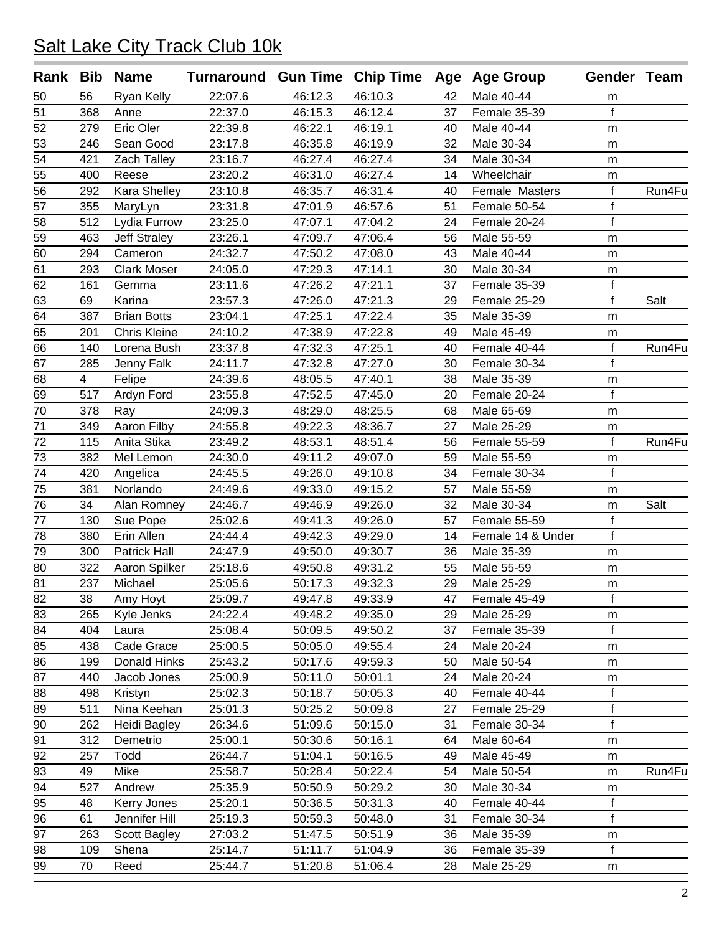|                 |                | Rank Bib Name          | Turnaround Gun Time Chip Time Age Age Group |         |         |    |                   | Gender Team      |        |
|-----------------|----------------|------------------------|---------------------------------------------|---------|---------|----|-------------------|------------------|--------|
| 50              | 56             | <b>Ryan Kelly</b>      | 22:07.6                                     | 46:12.3 | 46:10.3 | 42 | Male 40-44        | m                |        |
| 51              | 368            | Anne                   | 22:37.0                                     | 46:15.3 | 46:12.4 | 37 | Female 35-39      | f                |        |
| 52              | 279            | Eric Oler              | 22:39.8                                     | 46:22.1 | 46:19.1 | 40 | Male 40-44        | m                |        |
| 53              | 246            | Sean Good              | 23:17.8                                     | 46:35.8 | 46:19.9 | 32 | Male 30-34        | m                |        |
| 54              | 421            | Zach Talley            | 23:16.7                                     | 46:27.4 | 46:27.4 | 34 | Male 30-34        | m                |        |
| 55              | 400            | Reese                  | 23:20.2                                     | 46:31.0 | 46:27.4 | 14 | Wheelchair        | m                |        |
| 56              | 292            | Kara Shelley           | 23:10.8                                     | 46:35.7 | 46:31.4 | 40 | Female Masters    | f                | Run4Fu |
| 57              | 355            | MaryLyn                | 23:31.8                                     | 47:01.9 | 46:57.6 | 51 | Female 50-54      | f                |        |
| 58              | 512            | Lydia Furrow           | 23:25.0                                     | 47:07.1 | 47:04.2 | 24 | Female 20-24      | $\mathsf f$      |        |
| 59              | 463            | <b>Jeff Straley</b>    | 23:26.1                                     | 47:09.7 | 47:06.4 | 56 | Male 55-59        | m                |        |
| 60              | 294            | Cameron                | 24:32.7                                     | 47:50.2 | 47:08.0 | 43 | Male 40-44        | m                |        |
| 61              | 293            | <b>Clark Moser</b>     | 24:05.0                                     | 47:29.3 | 47:14.1 | 30 | Male 30-34        | m                |        |
| 62              | 161            | Gemma                  | 23:11.6                                     | 47:26.2 | 47:21.1 | 37 | Female 35-39      | f                |        |
| 63              | 69             | Karina                 | 23:57.3                                     | 47:26.0 | 47:21.3 | 29 | Female 25-29      | $\mathsf{f}$     | Salt   |
| 64              | 387            | <b>Brian Botts</b>     | 23:04.1                                     | 47:25.1 | 47:22.4 | 35 | Male 35-39        | m                |        |
| 65              | 201            | <b>Chris Kleine</b>    | 24:10.2                                     | 47:38.9 | 47:22.8 | 49 | Male 45-49        | m                |        |
| 66              | 140            | Lorena Bush            | 23:37.8                                     | 47:32.3 | 47:25.1 | 40 | Female 40-44      | $\mathsf{f}$     | Run4Fu |
| $\overline{67}$ | 285            | Jenny Falk             | 24:11.7                                     | 47:32.8 | 47:27.0 | 30 | Female 30-34      | $\overline{f}$   |        |
| 68              | $\overline{4}$ | Felipe                 | 24:39.6                                     | 48:05.5 | 47:40.1 | 38 | Male 35-39        | m                |        |
| 69              | 517            | Ardyn Ford             | 23:55.8                                     | 47:52.5 | 47:45.0 | 20 | Female 20-24      | f                |        |
| 70              | 378            | Ray                    | 24:09.3                                     | 48:29.0 | 48:25.5 | 68 | Male 65-69        | m                |        |
| 71              | 349            | Aaron Filby            | 24:55.8                                     | 49:22.3 | 48:36.7 | 27 | Male 25-29        | m                |        |
| 72              | 115            | Anita Stika            | 23:49.2                                     | 48:53.1 | 48:51.4 | 56 | Female 55-59      | f                | Run4Fu |
| 73              | 382            | Mel Lemon              | 24:30.0                                     | 49:11.2 | 49:07.0 | 59 | Male 55-59        | m                |        |
| 74              | 420            | Angelica               | 24:45.5                                     | 49:26.0 | 49:10.8 | 34 | Female 30-34      | f                |        |
| 75              | 381            | Norlando               | 24:49.6                                     | 49:33.0 | 49:15.2 | 57 | Male 55-59        | m                |        |
| 76              | 34             | Alan Romney            | 24:46.7                                     | 49:46.9 | 49:26.0 | 32 | Male 30-34        | m                | Salt   |
| 77              | 130            | Sue Pope               | 25:02.6                                     | 49:41.3 | 49:26.0 | 57 | Female 55-59      | f                |        |
| 78              | 380            | Erin Allen             | 24:44.4                                     | 49:42.3 | 49:29.0 | 14 | Female 14 & Under | f                |        |
| 79              | 300            | <b>Patrick Hall</b>    | 24:47.9                                     | 49:50.0 | 49:30.7 | 36 | Male 35-39        | m                |        |
| 80              | 322            | Aaron Spilker          | 25:18.6                                     | 49:50.8 | 49:31.2 | 55 | Male 55-59        | m                |        |
| 81              | 237            | Michael                | 25:05.6                                     | 50:17.3 | 49:32.3 | 29 | Male 25-29        | m                |        |
| 82              | 38             | Amy Hoyt               | 25:09.7                                     | 49:47.8 | 49:33.9 | 47 | Female 45-49      | Ť                |        |
| 83              | 265            | Kyle Jenks             | 24:22.4                                     | 49:48.2 | 49:35.0 | 29 | Male 25-29        | m                |        |
| 84              | 404            | Laura                  | 25:08.4                                     | 50:09.5 | 49:50.2 | 37 | Female 35-39      | f                |        |
| 85              | 438            | Cade Grace             | 25:00.5                                     | 50:05.0 | 49:55.4 | 24 | Male 20-24        |                  |        |
|                 | 199            | Donald Hinks           | 25:43.2                                     | 50:17.6 | 49:59.3 | 50 | Male 50-54        | m                |        |
| 86<br>87        | 440            | Jacob Jones            | 25:00.9                                     | 50:11.0 | 50:01.1 | 24 | Male 20-24        | m                |        |
|                 |                |                        | 25:02.3                                     |         | 50:05.3 |    | Female 40-44      | m<br>$\mathsf f$ |        |
| 88              | 498            | Kristyn<br>Nina Keehan |                                             | 50:18.7 |         | 40 |                   | $\mathsf f$      |        |
| 89              | 511            |                        | 25:01.3                                     | 50:25.2 | 50:09.8 | 27 | Female 25-29      | $\mathsf f$      |        |
| 90              | 262            | Heidi Bagley           | 26:34.6                                     | 51:09.6 | 50:15.0 | 31 | Female 30-34      |                  |        |
| 91              | 312            | Demetrio               | 25:00.1                                     | 50:30.6 | 50:16.1 | 64 | Male 60-64        | m                |        |
| 92              | 257            | Todd                   | 26:44.7                                     | 51:04.1 | 50:16.5 | 49 | Male 45-49        | m                |        |
| 93              | 49             | Mike                   | 25:58.7                                     | 50:28.4 | 50:22.4 | 54 | Male 50-54        | m                | Run4Fu |
| 94              | 527            | Andrew                 | 25:35.9                                     | 50:50.9 | 50:29.2 | 30 | Male 30-34        | m                |        |
| 95              | 48             | Kerry Jones            | 25:20.1                                     | 50:36.5 | 50:31.3 | 40 | Female 40-44      | f                |        |
| 96              | 61             | Jennifer Hill          | 25:19.3                                     | 50:59.3 | 50:48.0 | 31 | Female 30-34      | $\mathsf f$      |        |
| 97              | 263            | Scott Bagley           | 27:03.2                                     | 51:47.5 | 50:51.9 | 36 | Male 35-39        | m                |        |
| 98              | 109            | Shena                  | 25:14.7                                     | 51:11.7 | 51:04.9 | 36 | Female 35-39      | f                |        |
| 99              | 70             | Reed                   | 25:44.7                                     | 51:20.8 | 51:06.4 | 28 | Male 25-29        | m                |        |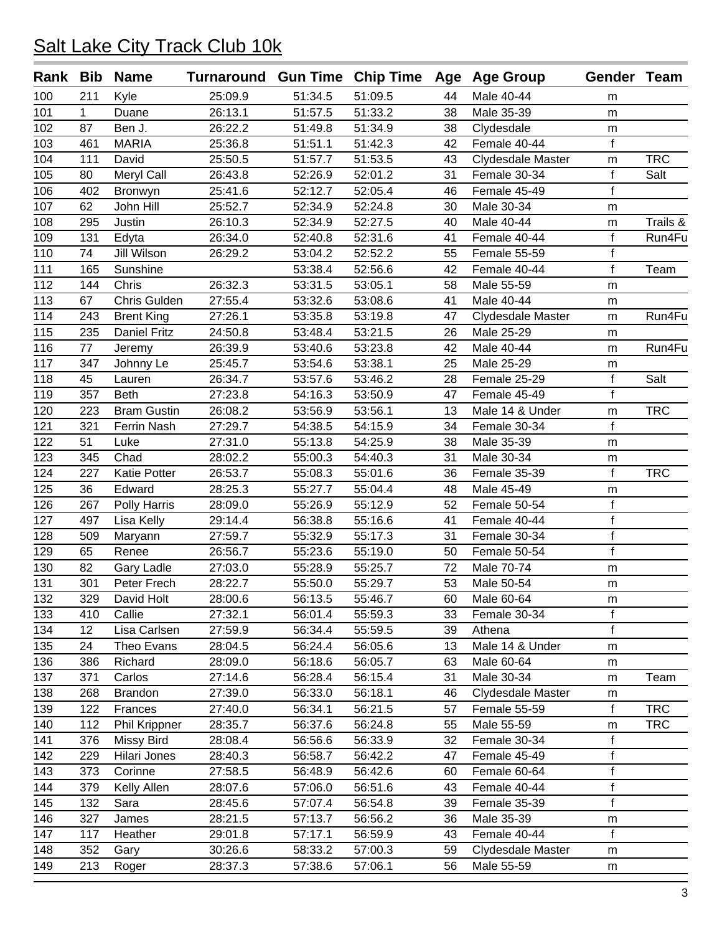|     |              | Rank Bib Name       | Turnaround Gun Time Chip Time Age Age Group |         |         |    |                   | Gender Team  |            |
|-----|--------------|---------------------|---------------------------------------------|---------|---------|----|-------------------|--------------|------------|
| 100 | 211          | Kyle                | 25:09.9                                     | 51:34.5 | 51:09.5 | 44 | Male 40-44        | m            |            |
| 101 | $\mathbf{1}$ | Duane               | 26:13.1                                     | 51:57.5 | 51:33.2 | 38 | Male 35-39        | m            |            |
| 102 | 87           | Ben J.              | 26:22.2                                     | 51:49.8 | 51:34.9 | 38 | Clydesdale        | m            |            |
| 103 | 461          | <b>MARIA</b>        | 25:36.8                                     | 51:51.1 | 51:42.3 | 42 | Female 40-44      | f            |            |
| 104 | 111          | David               | 25:50.5                                     | 51:57.7 | 51:53.5 | 43 | Clydesdale Master | m            | <b>TRC</b> |
| 105 | 80           | Meryl Call          | 26:43.8                                     | 52:26.9 | 52:01.2 | 31 | Female 30-34      | f            | Salt       |
| 106 | 402          | Bronwyn             | 25:41.6                                     | 52:12.7 | 52:05.4 | 46 | Female 45-49      | $\mathsf{f}$ |            |
| 107 | 62           | John Hill           | 25:52.7                                     | 52:34.9 | 52:24.8 | 30 | Male 30-34        | m            |            |
| 108 | 295          | Justin              | 26:10.3                                     | 52:34.9 | 52:27.5 | 40 | Male 40-44        | m            | Trails &   |
| 109 | 131          | Edyta               | 26:34.0                                     | 52:40.8 | 52:31.6 | 41 | Female 40-44      | f            | Run4Fu     |
| 110 | 74           | Jill Wilson         | 26:29.2                                     | 53:04.2 | 52:52.2 | 55 | Female 55-59      | f            |            |
| 111 | 165          | Sunshine            |                                             | 53:38.4 | 52:56.6 | 42 | Female 40-44      | f            | Team       |
| 112 | 144          | Chris               | 26:32.3                                     | 53:31.5 | 53:05.1 | 58 | Male 55-59        | m            |            |
| 113 | 67           | Chris Gulden        | 27:55.4                                     | 53:32.6 | 53:08.6 | 41 | Male 40-44        | m            |            |
| 114 | 243          | <b>Brent King</b>   | 27:26.1                                     | 53:35.8 | 53:19.8 | 47 | Clydesdale Master | m            | Run4Fu     |
| 115 | 235          | <b>Daniel Fritz</b> | 24:50.8                                     | 53:48.4 | 53:21.5 | 26 | Male 25-29        | m            |            |
| 116 | 77           | Jeremy              | 26:39.9                                     | 53:40.6 | 53:23.8 | 42 | Male 40-44        | m            | Run4Fu     |
| 117 | 347          | Johnny Le           | 25:45.7                                     | 53:54.6 | 53:38.1 | 25 | Male 25-29        | m            |            |
| 118 | 45           | Lauren              | 26:34.7                                     | 53:57.6 | 53:46.2 | 28 | Female 25-29      | f            | Salt       |
| 119 | 357          | <b>Beth</b>         | 27:23.8                                     | 54:16.3 | 53:50.9 | 47 | Female 45-49      | f            |            |
| 120 | 223          | <b>Bram Gustin</b>  | 26:08.2                                     | 53:56.9 | 53:56.1 | 13 | Male 14 & Under   | m            | <b>TRC</b> |
| 121 | 321          | Ferrin Nash         | 27:29.7                                     | 54:38.5 | 54:15.9 | 34 | Female 30-34      | $\mathbf f$  |            |
| 122 | 51           | Luke                | 27:31.0                                     | 55:13.8 | 54:25.9 | 38 | Male 35-39        | m            |            |
| 123 | 345          | Chad                | 28:02.2                                     | 55:00.3 | 54:40.3 | 31 | Male 30-34        | m            |            |
| 124 | 227          | Katie Potter        | 26:53.7                                     | 55:08.3 | 55:01.6 | 36 | Female 35-39      | f            | <b>TRC</b> |
| 125 | 36           | Edward              | 28:25.3                                     | 55:27.7 | 55:04.4 | 48 | Male 45-49        | m            |            |
| 126 | 267          | Polly Harris        | 28:09.0                                     | 55:26.9 | 55:12.9 | 52 | Female 50-54      | $\mathsf f$  |            |
| 127 | 497          | Lisa Kelly          | 29:14.4                                     | 56:38.8 | 55:16.6 | 41 | Female 40-44      | f            |            |
| 128 | 509          | Maryann             | 27:59.7                                     | 55:32.9 | 55:17.3 | 31 | Female 30-34      | $\mathsf{f}$ |            |
| 129 | 65           | Renee               | 26:56.7                                     | 55:23.6 | 55:19.0 | 50 | Female 50-54      | f            |            |
| 130 | 82           | Gary Ladle          | 27:03.0                                     | 55:28.9 | 55:25.7 | 72 | Male 70-74        | m            |            |
| 131 | 301          | Peter Frech         | 28:22.7                                     | 55:50.0 | 55:29.7 | 53 | Male 50-54        | m            |            |
| 132 | 329          | David Holt          | 28:00.6                                     | 56:13.5 | 55:46.7 | 60 | Male 60-64        | m            |            |
| 133 | 410          | Callie              | 27:32.1                                     | 56:01.4 | 55:59.3 | 33 | Female 30-34      | f            |            |
| 134 | 12           | Lisa Carlsen        | 27:59.9                                     | 56:34.4 | 55:59.5 | 39 | Athena            | $\mathbf{f}$ |            |
| 135 | 24           | Theo Evans          | 28:04.5                                     | 56:24.4 | 56:05.6 | 13 | Male 14 & Under   | m            |            |
| 136 | 386          | Richard             | 28:09.0                                     | 56:18.6 | 56:05.7 | 63 | Male 60-64        | m            |            |
| 137 | 371          | Carlos              | 27:14.6                                     | 56:28.4 | 56:15.4 | 31 | Male 30-34        | m            | Team       |
| 138 | 268          | <b>Brandon</b>      | 27:39.0                                     | 56:33.0 | 56:18.1 | 46 | Clydesdale Master | m            |            |
| 139 | 122          | Frances             | 27:40.0                                     | 56:34.1 | 56:21.5 | 57 | Female 55-59      | f            | <b>TRC</b> |
| 140 | 112          | Phil Krippner       | 28:35.7                                     | 56:37.6 | 56:24.8 | 55 | Male 55-59        | m            | <b>TRC</b> |
| 141 | 376          | Missy Bird          | 28:08.4                                     | 56:56.6 | 56:33.9 | 32 | Female 30-34      | f            |            |
| 142 | 229          | Hilari Jones        | 28:40.3                                     | 56:58.7 | 56:42.2 | 47 | Female 45-49      | f            |            |
| 143 | 373          | Corinne             | 27:58.5                                     | 56:48.9 | 56:42.6 | 60 | Female 60-64      | f            |            |
| 144 | 379          | Kelly Allen         | 28:07.6                                     | 57:06.0 | 56:51.6 | 43 | Female 40-44      | $\mathsf{f}$ |            |
| 145 | 132          | Sara                | 28:45.6                                     | 57:07.4 | 56:54.8 | 39 | Female 35-39      | f            |            |
| 146 | 327          | James               | 28:21.5                                     | 57:13.7 | 56:56.2 | 36 | Male 35-39        | m            |            |
| 147 | 117          | Heather             | 29:01.8                                     | 57:17.1 | 56:59.9 | 43 | Female 40-44      | f            |            |
| 148 | 352          | Gary                | 30:26.6                                     | 58:33.2 | 57:00.3 | 59 | Clydesdale Master |              |            |
| 149 | 213          |                     | 28:37.3                                     | 57:38.6 | 57:06.1 | 56 | Male 55-59        | m            |            |
|     |              | Roger               |                                             |         |         |    |                   | m            |            |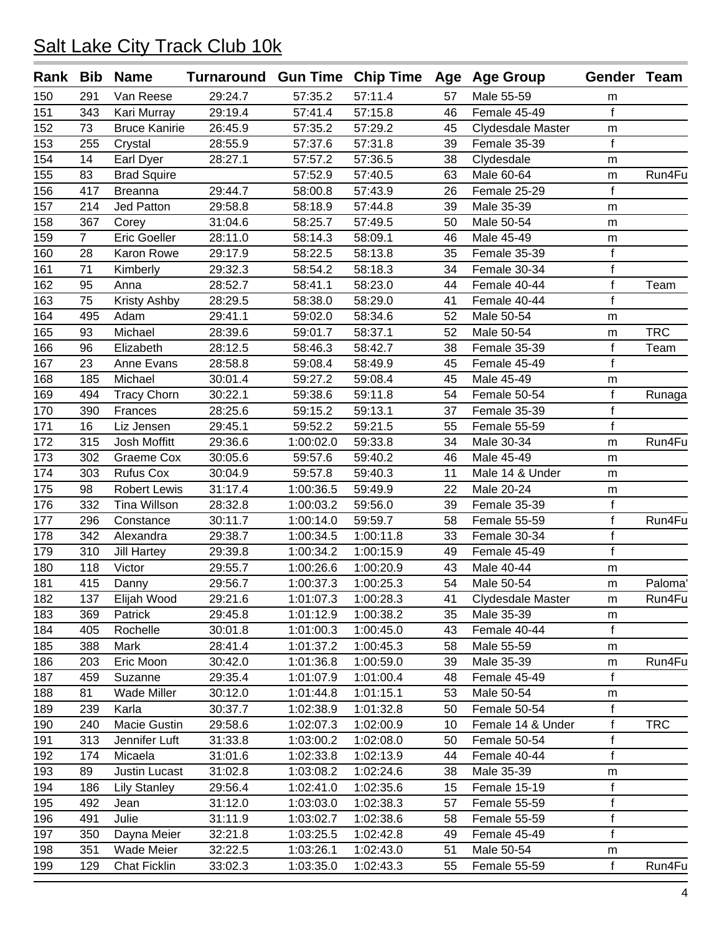| Rank | Bib            | <b>Name</b>          | Turnaround Gun Time Chip Time Age Age Group |                        |           |    |                   | Gender Team  |            |
|------|----------------|----------------------|---------------------------------------------|------------------------|-----------|----|-------------------|--------------|------------|
| 150  | 291            | Van Reese            | 29:24.7                                     | 57:35.2                | 57:11.4   | 57 | Male 55-59        | m            |            |
| 151  | 343            | Kari Murray          | 29:19.4                                     | 57:41.4                | 57:15.8   | 46 | Female 45-49      | f            |            |
| 152  | 73             | <b>Bruce Kanirie</b> | 26:45.9                                     | 57:35.2                | 57:29.2   | 45 | Clydesdale Master | m            |            |
| 153  | 255            | Crystal              | 28:55.9                                     | 57:37.6                | 57:31.8   | 39 | Female 35-39      | f            |            |
| 154  | 14             | Earl Dyer            | 28:27.1                                     | 57:57.2                | 57:36.5   | 38 | Clydesdale        | m            |            |
| 155  | 83             | <b>Brad Squire</b>   |                                             | 57:52.9                | 57:40.5   | 63 | Male 60-64        | m            | Run4Fu     |
| 156  | 417            | <b>Breanna</b>       | 29:44.7                                     | 58:00.8                | 57:43.9   | 26 | Female 25-29      | f            |            |
| 157  | 214            | <b>Jed Patton</b>    | 29:58.8                                     | 58:18.9                | 57:44.8   | 39 | Male 35-39        | m            |            |
| 158  | 367            | Corey                | 31:04.6                                     | 58:25.7                | 57:49.5   | 50 | Male 50-54        | m            |            |
| 159  | $\overline{7}$ | <b>Eric Goeller</b>  | 28:11.0                                     | 58:14.3                | 58:09.1   | 46 | Male 45-49        | m            |            |
| 160  | 28             | Karon Rowe           | 29:17.9                                     | 58:22.5                | 58:13.8   | 35 | Female 35-39      | $\mathsf f$  |            |
| 161  | 71             | Kimberly             | 29:32.3                                     | 58:54.2                | 58:18.3   | 34 | Female 30-34      | f            |            |
| 162  | 95             | Anna                 | 28:52.7                                     | 58:41.1                | 58:23.0   | 44 | Female 40-44      | f            | Team       |
| 163  | 75             | Kristy Ashby         | 28:29.5                                     | 58:38.0                | 58:29.0   | 41 | Female 40-44      | $\mathsf{f}$ |            |
| 164  | 495            | Adam                 | 29:41.1                                     | 59:02.0                | 58:34.6   | 52 | Male 50-54        | ${\sf m}$    |            |
| 165  | 93             | Michael              | 28:39.6                                     | 59:01.7                | 58:37.1   | 52 | Male 50-54        | m            | <b>TRC</b> |
| 166  | 96             | Elizabeth            | 28:12.5                                     | 58:46.3                | 58:42.7   | 38 | Female 35-39      | f            | Team       |
| 167  | 23             | Anne Evans           | 28:58.8                                     | 59:08.4                | 58:49.9   | 45 | Female 45-49      | f            |            |
| 168  | 185            | Michael              | 30:01.4                                     | 59:27.2                | 59:08.4   | 45 | Male 45-49        | m            |            |
| 169  | 494            | <b>Tracy Chorn</b>   | 30:22.1                                     | 59:38.6                | 59:11.8   | 54 | Female 50-54      | f            | Runaga     |
| 170  | 390            | Frances              | 28:25.6                                     | 59:15.2                | 59:13.1   | 37 | Female 35-39      | f            |            |
| 171  | 16             | Liz Jensen           | 29:45.1                                     | 59:52.2                | 59:21.5   | 55 | Female 55-59      | f            |            |
| 172  | 315            | Josh Moffitt         | 29:36.6                                     | 1:00:02.0              | 59:33.8   | 34 | Male 30-34        | m            | Run4Fu     |
| 173  | 302            | Graeme Cox           | 30:05.6                                     | 59:57.6                | 59:40.2   | 46 | Male 45-49        | m            |            |
| 174  | 303            | <b>Rufus Cox</b>     | 30:04.9                                     | 59:57.8                | 59:40.3   | 11 | Male 14 & Under   | m            |            |
| 175  | 98             | <b>Robert Lewis</b>  | 31:17.4                                     | 1:00:36.5              | 59:49.9   | 22 | Male 20-24        | m            |            |
| 176  | 332            | <b>Tina Willson</b>  | 28:32.8                                     | 1:00:03.2              | 59:56.0   | 39 | Female 35-39      | $\mathsf f$  |            |
| 177  | 296            | Constance            | 30:11.7                                     | 1:00:14.0              | 59:59.7   | 58 | Female 55-59      | f            | Run4Fu     |
| 178  | 342            | Alexandra            | 29:38.7                                     | 1:00:34.5              | 1:00:11.8 | 33 | Female 30-34      | f            |            |
| 179  | 310            | <b>Jill Hartey</b>   | 29:39.8                                     | 1:00:34.2              | 1:00:15.9 | 49 | Female 45-49      | f            |            |
| 180  | 118            | Victor               | 29:55.7                                     | 1:00:26.6              | 1:00:20.9 | 43 | Male 40-44        | m            |            |
| 181  | 415            | Danny                | 29:56.7                                     | 1:00:37.3              | 1:00:25.3 | 54 | Male 50-54        | m            | Paloma'    |
| 182  | 137            | Elijah Wood          | 29:21.6                                     | 1:01:07.3              | 1:00:28.3 | 41 | Clydesdale Master | m            | Run4Fu     |
| 183  | 369            | Patrick              | 29:45.8                                     | 1:01:12.9              | 1:00:38.2 | 35 | Male 35-39        | m            |            |
| 184  | 405            | Rochelle             | 30:01.8                                     | 1:01:00.3              | 1:00:45.0 | 43 | Female 40-44      | $\mathsf f$  |            |
| 185  | 388            | Mark                 | 28:41.4                                     | 1:01:37.2              | 1:00:45.3 | 58 | Male 55-59        | m            |            |
| 186  | 203            | Eric Moon            | 30:42.0                                     | 1:01:36.8              | 1:00:59.0 | 39 | Male 35-39        | m            | Run4Fu     |
| 187  | 459            | Suzanne              | 29:35.4                                     | 1:01:07.9              | 1:01:00.4 | 48 | Female 45-49      | f            |            |
| 188  | 81             | Wade Miller          | 30:12.0                                     | 1:01:44.8              | 1:01:15.1 | 53 | Male 50-54        | m            |            |
| 189  | 239            | Karla                | 30:37.7                                     | 1:02:38.9              | 1:01:32.8 | 50 | Female 50-54      | f            |            |
| 190  | 240            | Macie Gustin         | 29:58.6                                     | 1:02:07.3              | 1:02:00.9 | 10 | Female 14 & Under | f            | <b>TRC</b> |
| 191  | 313            | Jennifer Luft        | 31:33.8                                     | 1:03:00.2              | 1:02:08.0 | 50 | Female 50-54      | f            |            |
| 192  | 174            | Micaela              | 31:01.6                                     | 1:02:33.8              | 1:02:13.9 | 44 | Female 40-44      | f            |            |
| 193  | 89             | Justin Lucast        | 31:02.8                                     | 1:03:08.2              | 1:02:24.6 | 38 | Male 35-39        | m            |            |
| 194  |                |                      |                                             |                        |           | 15 | Female 15-19      | f            |            |
| 195  | 186            | <b>Lily Stanley</b>  | 29:56.4<br>31:12.0                          | 1:02:41.0<br>1:03:03.0 | 1:02:35.6 |    | Female 55-59      | f            |            |
|      | 492            | Jean                 |                                             |                        | 1:02:38.3 | 57 |                   |              |            |
| 196  | 491            | Julie                | 31:11.9                                     | 1:03:02.7              | 1:02:38.6 | 58 | Female 55-59      | f<br>f       |            |
| 197  | 350            | Dayna Meier          | 32:21.8                                     | 1:03:25.5              | 1:02:42.8 | 49 | Female 45-49      |              |            |
| 198  | 351            | Wade Meier           | 32:22.5                                     | 1:03:26.1              | 1:02:43.0 | 51 | Male 50-54        | m            |            |
| 199  | 129            | <b>Chat Ficklin</b>  | 33:02.3                                     | 1:03:35.0              | 1:02:43.3 | 55 | Female 55-59      | f            | Run4Fu     |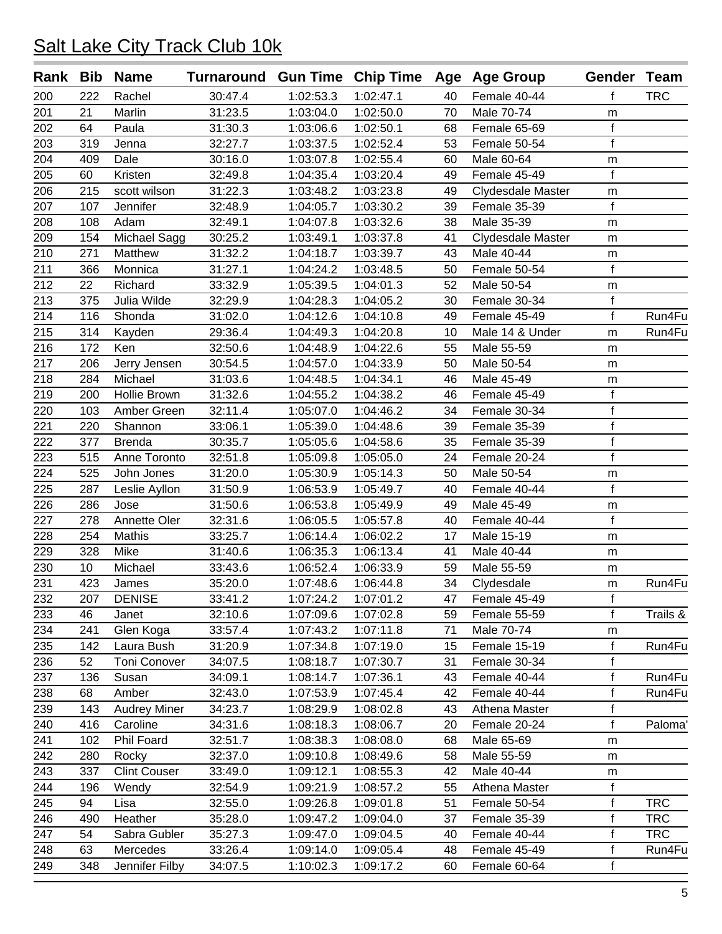| Rank Bib |     | <b>Name</b>         | Turnaround Gun Time Chip Time Age Age Group |           |           |    |                   | Gender Team  |            |
|----------|-----|---------------------|---------------------------------------------|-----------|-----------|----|-------------------|--------------|------------|
| 200      | 222 | Rachel              | 30:47.4                                     | 1:02:53.3 | 1:02:47.1 | 40 | Female 40-44      | f            | <b>TRC</b> |
| 201      | 21  | Marlin              | 31:23.5                                     | 1:03:04.0 | 1:02:50.0 | 70 | Male 70-74        | ${\sf m}$    |            |
| 202      | 64  | Paula               | 31:30.3                                     | 1:03:06.6 | 1:02:50.1 | 68 | Female 65-69      | $\mathsf f$  |            |
| 203      | 319 | Jenna               | 32:27.7                                     | 1:03:37.5 | 1:02:52.4 | 53 | Female 50-54      | f            |            |
| 204      | 409 | Dale                | 30:16.0                                     | 1:03:07.8 | 1:02:55.4 | 60 | Male 60-64        | m            |            |
| 205      | 60  | Kristen             | 32:49.8                                     | 1:04:35.4 | 1:03:20.4 | 49 | Female 45-49      | f            |            |
| 206      | 215 | scott wilson        | 31:22.3                                     | 1:03:48.2 | 1:03:23.8 | 49 | Clydesdale Master | m            |            |
| 207      | 107 | Jennifer            | 32:48.9                                     | 1:04:05.7 | 1:03:30.2 | 39 | Female 35-39      | f            |            |
| 208      | 108 | Adam                | 32:49.1                                     | 1:04:07.8 | 1:03:32.6 | 38 | Male 35-39        | m            |            |
| 209      | 154 | Michael Sagg        | 30:25.2                                     | 1:03:49.1 | 1:03:37.8 | 41 | Clydesdale Master | m            |            |
| 210      | 271 | Matthew             | 31:32.2                                     | 1:04:18.7 | 1:03:39.7 | 43 | Male 40-44        | m            |            |
| 211      | 366 | Monnica             | 31:27.1                                     | 1:04:24.2 | 1:03:48.5 | 50 | Female 50-54      | f            |            |
| 212      | 22  | Richard             | 33:32.9                                     | 1:05:39.5 | 1:04:01.3 | 52 | Male 50-54        | m            |            |
| 213      | 375 | Julia Wilde         | 32:29.9                                     | 1:04:28.3 | 1:04:05.2 | 30 | Female 30-34      | $\mathsf f$  |            |
| 214      | 116 | Shonda              | 31:02.0                                     | 1:04:12.6 | 1:04:10.8 | 49 | Female 45-49      | f            | Run4Fu     |
| 215      | 314 | Kayden              | 29:36.4                                     | 1:04:49.3 | 1:04:20.8 | 10 | Male 14 & Under   | ${\sf m}$    | Run4Fu     |
| 216      | 172 | Ken                 | 32:50.6                                     | 1:04:48.9 | 1:04:22.6 | 55 | Male 55-59        | ${\sf m}$    |            |
| 217      | 206 | Jerry Jensen        | 30:54.5                                     | 1:04:57.0 | 1:04:33.9 | 50 | Male 50-54        | m            |            |
| 218      | 284 | Michael             | 31:03.6                                     | 1:04:48.5 | 1:04:34.1 | 46 | Male 45-49        | m            |            |
| 219      | 200 | Hollie Brown        | 31:32.6                                     | 1:04:55.2 | 1:04:38.2 | 46 | Female 45-49      | f            |            |
| 220      | 103 | Amber Green         | 32:11.4                                     | 1:05:07.0 | 1:04:46.2 | 34 | Female 30-34      | f            |            |
| 221      | 220 | Shannon             | 33:06.1                                     | 1:05:39.0 | 1:04:48.6 | 39 | Female 35-39      | f            |            |
| 222      | 377 | <b>Brenda</b>       | 30:35.7                                     | 1:05:05.6 | 1:04:58.6 | 35 | Female 35-39      | $\mathsf{f}$ |            |
| 223      | 515 | Anne Toronto        | 32:51.8                                     | 1:05:09.8 | 1:05:05.0 | 24 | Female 20-24      | f            |            |
| 224      | 525 | John Jones          | 31:20.0                                     | 1:05:30.9 | 1:05:14.3 | 50 | Male 50-54        | m            |            |
| 225      | 287 | Leslie Ayllon       | 31:50.9                                     | 1:06:53.9 | 1:05:49.7 | 40 | Female 40-44      | f            |            |
| 226      | 286 | Jose                | 31:50.6                                     | 1:06:53.8 | 1:05:49.9 | 49 | Male 45-49        | m            |            |
| 227      | 278 | Annette Oler        | 32:31.6                                     | 1:06:05.5 | 1:05:57.8 | 40 | Female 40-44      | $\mathsf f$  |            |
| 228      | 254 | <b>Mathis</b>       | 33:25.7                                     | 1:06:14.4 | 1:06:02.2 | 17 | Male 15-19        | m            |            |
| 229      | 328 | Mike                | 31:40.6                                     | 1:06:35.3 | 1:06:13.4 | 41 | Male 40-44        | m            |            |
| 230      | 10  | Michael             | 33:43.6                                     | 1:06:52.4 | 1:06:33.9 | 59 | Male 55-59        | m            |            |
| 231      | 423 | James               | 35:20.0                                     | 1:07:48.6 | 1:06:44.8 | 34 | Clydesdale        | m            | Run4Fu     |
| 232      | 207 | <b>DENISE</b>       | 33:41.2                                     | 1:07:24.2 | 1:07:01.2 | 47 | Female 45-49      | T.           |            |
| 233      | 46  | Janet               | 32:10.6                                     | 1:07:09.6 | 1:07:02.8 | 59 | Female 55-59      | f            | Trails &   |
| 234      | 241 | Glen Koga           | 33:57.4                                     | 1:07:43.2 | 1:07:11.8 | 71 | Male 70-74        | m            |            |
| 235      | 142 | Laura Bush          | 31:20.9                                     | 1:07:34.8 | 1:07:19.0 | 15 | Female 15-19      | f            | Run4Fu     |
| 236      | 52  | <b>Toni Conover</b> | 34:07.5                                     | 1:08:18.7 | 1:07:30.7 | 31 | Female 30-34      | f            |            |
| 237      | 136 | Susan               | 34:09.1                                     | 1:08:14.7 | 1:07:36.1 | 43 | Female 40-44      | f            | Run4Fu     |
| 238      | 68  | Amber               | 32:43.0                                     | 1:07:53.9 | 1:07:45.4 | 42 | Female 40-44      | f            | Run4Fu     |
| 239      | 143 | <b>Audrey Miner</b> | 34:23.7                                     | 1:08:29.9 | 1:08:02.8 | 43 | Athena Master     | f            |            |
| 240      | 416 | Caroline            | 34:31.6                                     | 1:08:18.3 | 1:08:06.7 | 20 | Female 20-24      | f            | Paloma'    |
| 241      | 102 | Phil Foard          | 32:51.7                                     | 1:08:38.3 | 1:08:08.0 | 68 | Male 65-69        | m            |            |
| 242      | 280 | Rocky               | 32:37.0                                     | 1:09:10.8 | 1:08:49.6 | 58 | Male 55-59        | m            |            |
| 243      | 337 | <b>Clint Couser</b> | 33:49.0                                     | 1:09:12.1 | 1:08:55.3 | 42 | Male 40-44        | m            |            |
| 244      | 196 | Wendy               | 32:54.9                                     | 1:09:21.9 | 1:08:57.2 | 55 | Athena Master     | f            |            |
| 245      | 94  | Lisa                | 32:55.0                                     | 1:09:26.8 | 1:09:01.8 | 51 | Female 50-54      | f            | <b>TRC</b> |
| 246      | 490 | Heather             | 35:28.0                                     | 1:09:47.2 | 1:09:04.0 | 37 | Female 35-39      | f            | <b>TRC</b> |
| 247      | 54  | Sabra Gubler        | 35:27.3                                     | 1:09:47.0 | 1:09:04.5 | 40 | Female 40-44      | $\mathsf f$  | <b>TRC</b> |
| 248      | 63  | Mercedes            | 33:26.4                                     | 1:09:14.0 | 1:09:05.4 | 48 | Female 45-49      | f            | Run4Fu     |
| 249      | 348 | Jennifer Filby      | 34:07.5                                     | 1:10:02.3 | 1:09:17.2 | 60 | Female 60-64      | f            |            |
|          |     |                     |                                             |           |           |    |                   |              |            |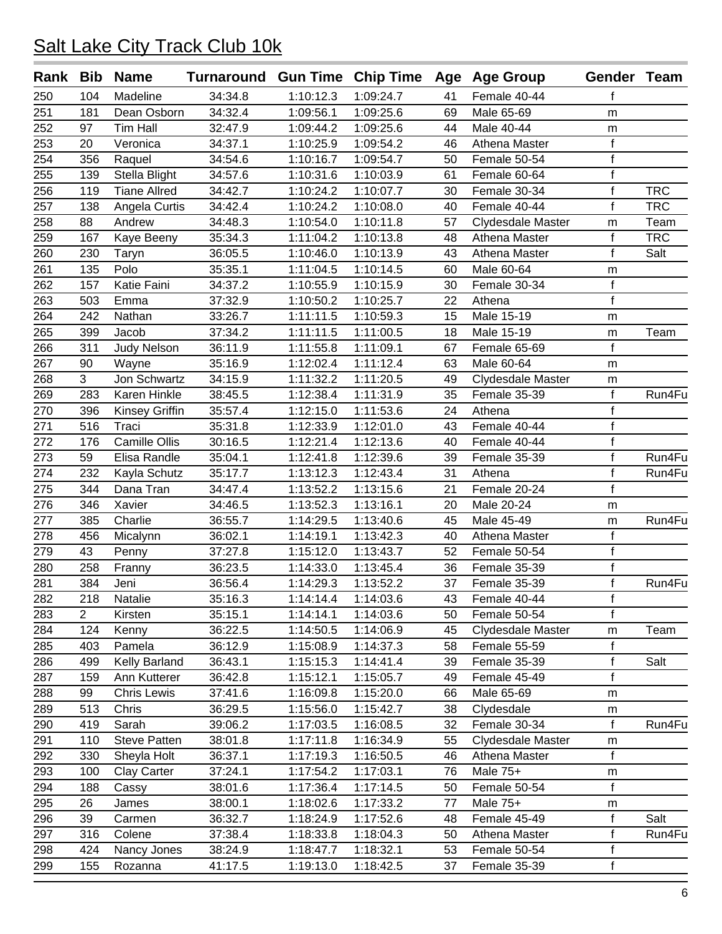| Rank | Bib            | <b>Name</b>         | Turnaround Gun Time Chip Time Age Age Group |                        |                        |          |                   | Gender Team          |            |
|------|----------------|---------------------|---------------------------------------------|------------------------|------------------------|----------|-------------------|----------------------|------------|
| 250  | 104            | Madeline            | 34:34.8                                     | 1:10:12.3              | 1:09:24.7              | 41       | Female 40-44      | f                    |            |
| 251  | 181            | Dean Osborn         | 34:32.4                                     | 1:09:56.1              | 1:09:25.6              | 69       | Male 65-69        | ${\sf m}$            |            |
| 252  | 97             | <b>Tim Hall</b>     | 32:47.9                                     | 1:09:44.2              | 1:09:25.6              | 44       | Male 40-44        | m                    |            |
| 253  | 20             | Veronica            | 34:37.1                                     | 1:10:25.9              | 1:09:54.2              | 46       | Athena Master     | $\mathsf{f}$         |            |
| 254  | 356            | Raquel              | 34:54.6                                     | 1:10:16.7              | 1:09:54.7              | 50       | Female 50-54      | $\mathsf f$          |            |
| 255  | 139            | Stella Blight       | 34:57.6                                     | 1:10:31.6              | 1:10:03.9              | 61       | Female 60-64      | f                    |            |
| 256  | 119            | <b>Tiane Allred</b> | 34:42.7                                     | 1:10:24.2              | 1:10:07.7              | 30       | Female 30-34      | f                    | <b>TRC</b> |
| 257  | 138            | Angela Curtis       | 34:42.4                                     | 1:10:24.2              | 1:10:08.0              | 40       | Female 40-44      | f                    | <b>TRC</b> |
| 258  | 88             | Andrew              | 34:48.3                                     | 1:10:54.0              | 1:10:11.8              | 57       | Clydesdale Master | m                    | Team       |
| 259  | 167            | Kaye Beeny          | 35:34.3                                     | 1:11:04.2              | 1:10:13.8              | 48       | Athena Master     | f                    | <b>TRC</b> |
| 260  | 230            | Taryn               | 36:05.5                                     | 1:10:46.0              | 1:10:13.9              | 43       | Athena Master     | f                    | Salt       |
| 261  | 135            | Polo                | 35:35.1                                     | 1:11:04.5              | 1:10:14.5              | 60       | Male 60-64        | m                    |            |
| 262  | 157            | Katie Faini         | 34:37.2                                     | 1:10:55.9              | 1:10:15.9              | 30       | Female 30-34      | $\mathsf f$          |            |
| 263  | 503            | Emma                | 37:32.9                                     | 1:10:50.2              | 1:10:25.7              | 22       | Athena            | $\mathsf{f}$         |            |
| 264  | 242            | Nathan              | 33:26.7                                     | 1:11:11.5              | 1:10:59.3              | 15       | Male 15-19        | m                    |            |
| 265  | 399            | Jacob               | 37:34.2                                     | 1:11:11.5              | 1:11:00.5              | 18       | Male 15-19        | m                    | Team       |
| 266  | 311            | <b>Judy Nelson</b>  | 36:11.9                                     | 1:11:55.8              | 1:11:09.1              | 67       | Female 65-69      | f                    |            |
| 267  | 90             | Wayne               | 35:16.9                                     | 1:12:02.4              | 1:11:12.4              | 63       | Male 60-64        | m                    |            |
| 268  | 3              | Jon Schwartz        | 34:15.9                                     | 1:11:32.2              | 1:11:20.5              | 49       | Clydesdale Master | m                    |            |
| 269  | 283            | Karen Hinkle        | 38:45.5                                     | 1:12:38.4              | 1:11:31.9              | 35       | Female 35-39      | f                    | Run4Fu     |
| 270  | 396            | Kinsey Griffin      | 35:57.4                                     | 1:12:15.0              | 1:11:53.6              | 24       | Athena            | f                    |            |
| 271  | 516            | Traci               | 35:31.8                                     | 1:12:33.9              | 1:12:01.0              | 43       | Female 40-44      | f                    |            |
| 272  | 176            | Camille Ollis       | 30:16.5                                     | 1:12:21.4              | 1:12:13.6              | 40       | Female 40-44      | f                    |            |
| 273  | 59             | Elisa Randle        | 35:04.1                                     | 1:12:41.8              | 1:12:39.6              | 39       | Female 35-39      | f                    | Run4Fu     |
| 274  | 232            | Kayla Schutz        | 35:17.7                                     | 1:13:12.3              | 1:12:43.4              | 31       | Athena            | f                    | Run4Fu     |
| 275  | 344            | Dana Tran           | 34:47.4                                     | 1:13:52.2              | 1:13:15.6              | 21       | Female $20-24$    | f                    |            |
| 276  | 346            | Xavier              | 34:46.5                                     | 1:13:52.3              | 1:13:16.1              | 20       | Male 20-24        | m                    |            |
| 277  | 385            | Charlie             | 36:55.7                                     | 1:14:29.5              | 1:13:40.6              | 45       | Male 45-49        | m                    | Run4Fu     |
| 278  | 456            | Micalynn            | 36:02.1                                     | 1:14:19.1              | 1:13:42.3              | 40       | Athena Master     | f                    |            |
| 279  | 43             | Penny               | 37:27.8                                     | 1:15:12.0              | 1:13:43.7              | 52       | Female 50-54      | f                    |            |
| 280  | 258            | Franny              | 36:23.5                                     | 1:14:33.0              | 1:13:45.4              | 36       | Female 35-39      | f                    |            |
| 281  | 384            | Jeni                | 36:56.4                                     | 1:14:29.3              | 1:13:52.2              | 37       | Female 35-39      | f                    | Run4Fu     |
| 282  | 218            | Natalie             | 35:16.3                                     | 1:14:14.4              | 1:14:03.6              | 43       | Female 40-44      |                      |            |
| 283  | $\overline{2}$ | Kirsten             | 35:15.1                                     | 1:14:14.1              | 1:14:03.6              | 50       | Female 50-54      | Ť.<br>$\overline{f}$ |            |
| 284  | 124            |                     | 36:22.5                                     | 1:14:50.5              |                        | 45       | Clydesdale Master |                      | Team       |
| 285  | 403            | Kenny<br>Pamela     | 36:12.9                                     | 1:15:08.9              | 1:14:06.9<br>1:14:37.3 | 58       | Female 55-59      | m<br>f               |            |
| 286  | 499            | Kelly Barland       | 36:43.1                                     | 1:15:15.3              | 1:14:41.4              | 39       | Female 35-39      | f                    | Salt       |
| 287  | 159            | Ann Kutterer        | 36:42.8                                     | 1:15:12.1              | 1:15:05.7              | 49       | Female 45-49      | f                    |            |
| 288  | 99             | <b>Chris Lewis</b>  | 37:41.6                                     |                        |                        |          | Male 65-69        |                      |            |
|      | 513            | Chris               | 36:29.5                                     | 1:16:09.8<br>1:15:56.0 | 1:15:20.0              | 66<br>38 | Clydesdale        | m                    |            |
| 289  |                |                     | 39:06.2                                     |                        | 1:15:42.7              | 32       | Female 30-34      | m<br>$\mathsf f$     |            |
| 290  | 419            | Sarah               |                                             | 1:17:03.5              | 1:16:08.5              | 55       |                   |                      | Run4Fu     |
| 291  | 110            | <b>Steve Patten</b> | 38:01.8                                     | 1:17:11.8              | 1:16:34.9              |          | Clydesdale Master | m<br>f               |            |
| 292  | 330            | Sheyla Holt         | 36:37.1                                     | 1:17:19.3              | 1:16:50.5              | 46       | Athena Master     |                      |            |
| 293  | 100            | Clay Carter         | 37:24.1                                     | 1:17:54.2              | 1:17:03.1              | 76       | Male $75+$        | m                    |            |
| 294  | 188            | Cassy               | 38:01.6                                     | 1:17:36.4              | 1:17:14.5              | 50       | Female 50-54      | $\mathsf f$          |            |
| 295  | 26             | James               | 38:00.1                                     | 1:18:02.6              | 1:17:33.2              | 77       | Male $75+$        | m                    |            |
| 296  | 39             | Carmen              | 36:32.7                                     | 1:18:24.9              | 1:17:52.6              | 48       | Female 45-49      | f                    | Salt       |
| 297  | 316            | Colene              | 37:38.4                                     | 1:18:33.8              | 1:18:04.3              | 50       | Athena Master     | $\mathsf f$          | Run4Fu     |
| 298  | 424            | Nancy Jones         | 38:24.9                                     | 1:18:47.7              | 1:18:32.1              | 53       | Female 50-54      | $\mathsf f$          |            |
| 299  | 155            | Rozanna             | 41:17.5                                     | 1:19:13.0              | 1:18:42.5              | 37       | Female 35-39      | f                    |            |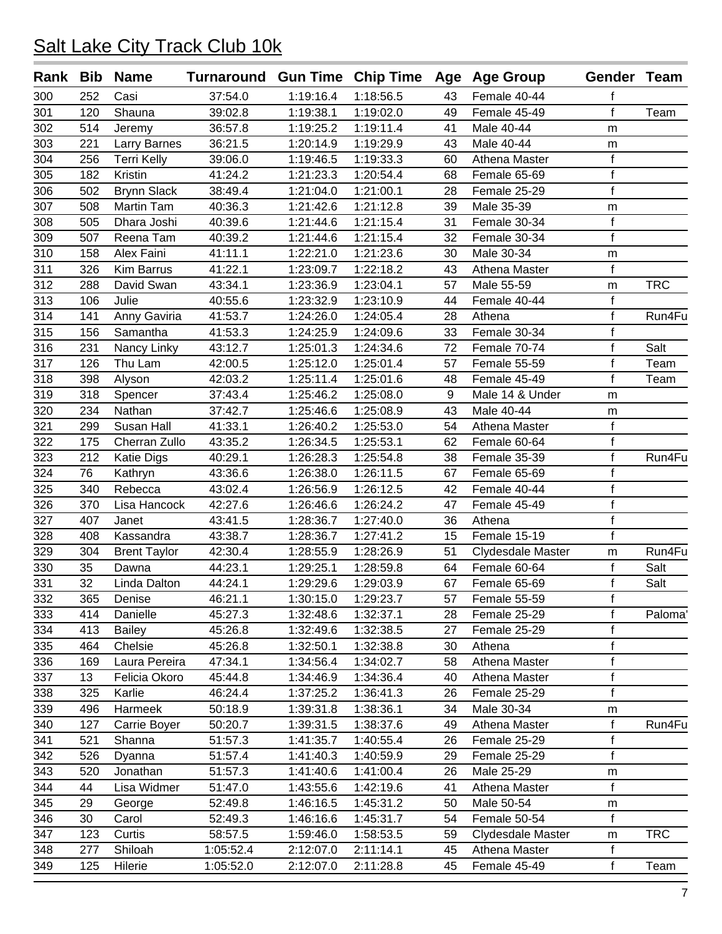|     |     | Rank Bib Name       | Turnaround Gun Time Chip Time Age Age Group |           |           |    |                   | Gender Team    |            |
|-----|-----|---------------------|---------------------------------------------|-----------|-----------|----|-------------------|----------------|------------|
| 300 | 252 | Casi                | 37:54.0                                     | 1:19:16.4 | 1:18:56.5 | 43 | Female 40-44      | f              |            |
| 301 | 120 | Shauna              | 39:02.8                                     | 1:19:38.1 | 1:19:02.0 | 49 | Female 45-49      | $\mathsf{f}$   | Team       |
| 302 | 514 | Jeremy              | 36:57.8                                     | 1:19:25.2 | 1:19:11.4 | 41 | Male 40-44        | m              |            |
| 303 | 221 | Larry Barnes        | 36:21.5                                     | 1:20:14.9 | 1:19:29.9 | 43 | Male 40-44        | m              |            |
| 304 | 256 | <b>Terri Kelly</b>  | 39:06.0                                     | 1:19:46.5 | 1:19:33.3 | 60 | Athena Master     | f              |            |
| 305 | 182 | Kristin             | 41:24.2                                     | 1:21:23.3 | 1:20:54.4 | 68 | Female 65-69      | $\overline{f}$ |            |
| 306 | 502 | <b>Brynn Slack</b>  | 38:49.4                                     | 1:21:04.0 | 1:21:00.1 | 28 | Female 25-29      | $\mathsf{f}$   |            |
| 307 | 508 | <b>Martin Tam</b>   | 40:36.3                                     | 1:21:42.6 | 1:21:12.8 | 39 | Male 35-39        | m              |            |
| 308 | 505 | Dhara Joshi         | 40:39.6                                     | 1:21:44.6 | 1:21:15.4 | 31 | Female 30-34      | f              |            |
| 309 | 507 | Reena Tam           | 40:39.2                                     | 1:21:44.6 | 1:21:15.4 | 32 | Female 30-34      | $\mathbf f$    |            |
| 310 | 158 | Alex Faini          | 41:11.1                                     | 1:22:21.0 | 1:21:23.6 | 30 | Male 30-34        | m              |            |
| 311 | 326 | <b>Kim Barrus</b>   | 41:22.1                                     | 1:23:09.7 | 1:22:18.2 | 43 | Athena Master     | f              |            |
| 312 | 288 | David Swan          | 43:34.1                                     | 1:23:36.9 | 1:23:04.1 | 57 | Male 55-59        | m              | <b>TRC</b> |
| 313 | 106 | Julie               | 40:55.6                                     | 1:23:32.9 | 1:23:10.9 | 44 | Female 40-44      | f              |            |
| 314 | 141 | Anny Gaviria        | 41:53.7                                     | 1:24:26.0 | 1:24:05.4 | 28 | Athena            | $\mathbf f$    | Run4Fu     |
| 315 | 156 | Samantha            | 41:53.3                                     | 1:24:25.9 | 1:24:09.6 | 33 | Female 30-34      | f              |            |
| 316 | 231 | Nancy Linky         | 43:12.7                                     | 1:25:01.3 | 1:24:34.6 | 72 | Female 70-74      | $\mathsf{f}$   | Salt       |
| 317 | 126 | Thu Lam             | 42:00.5                                     | 1:25:12.0 | 1:25:01.4 | 57 | Female 55-59      | $\mathsf f$    | Team       |
| 318 | 398 | Alyson              | 42:03.2                                     | 1:25:11.4 | 1:25:01.6 | 48 | Female 45-49      | f              | Team       |
| 319 | 318 | Spencer             | 37:43.4                                     | 1:25:46.2 | 1:25:08.0 | 9  | Male 14 & Under   | m              |            |
| 320 | 234 | Nathan              | 37:42.7                                     | 1:25:46.6 | 1:25:08.9 | 43 | Male 40-44        | m              |            |
| 321 | 299 | Susan Hall          | 41:33.1                                     | 1:26:40.2 | 1:25:53.0 | 54 | Athena Master     | $\mathsf f$    |            |
| 322 | 175 | Cherran Zullo       | 43:35.2                                     | 1:26:34.5 | 1:25:53.1 | 62 | Female 60-64      | $\mathsf{f}$   |            |
| 323 | 212 | <b>Katie Digs</b>   | 40:29.1                                     | 1:26:28.3 | 1:25:54.8 | 38 | Female 35-39      | f              | Run4Fu     |
| 324 | 76  | Kathryn             | 43:36.6                                     | 1:26:38.0 | 1:26:11.5 | 67 | Female 65-69      | f              |            |
| 325 | 340 | Rebecca             | 43:02.4                                     | 1:26:56.9 | 1:26:12.5 | 42 | Female 40-44      | $\mathsf{f}$   |            |
| 326 | 370 | Lisa Hancock        | 42:27.6                                     | 1:26:46.6 | 1:26:24.2 | 47 | Female 45-49      | $\mathsf f$    |            |
| 327 | 407 | Janet               | 43:41.5                                     | 1:28:36.7 | 1:27:40.0 | 36 | Athena            | $\mathsf{f}$   |            |
| 328 | 408 | Kassandra           | 43:38.7                                     | 1:28:36.7 | 1:27:41.2 | 15 | Female 15-19      | $\mathbf f$    |            |
| 329 | 304 | <b>Brent Taylor</b> | 42:30.4                                     | 1:28:55.9 | 1:28:26.9 | 51 | Clydesdale Master | m              | Run4Fu     |
| 330 | 35  | Dawna               | 44:23.1                                     | 1:29:25.1 | 1:28:59.8 | 64 | Female 60-64      | f              | Salt       |
| 331 | 32  | Linda Dalton        | 44:24.1                                     | 1:29:29.6 | 1:29:03.9 | 67 | Female 65-69      | f              | Salt       |
| 332 | 365 | Denise              | 46:21.1                                     | 1:30:15.0 | 1:29:23.7 | 57 | Female 55-59      | f              |            |
| 333 | 414 | Danielle            | 45:27.3                                     | 1:32:48.6 | 1:32:37.1 | 28 | Female 25-29      | $\mathsf{f}$   | Paloma'    |
| 334 | 413 | <b>Bailey</b>       | 45:26.8                                     | 1:32:49.6 | 1:32:38.5 | 27 | Female 25-29      | f              |            |
| 335 | 464 | Chelsie             | 45:26.8                                     | 1:32:50.1 | 1:32:38.8 | 30 | Athena            | $\mathsf f$    |            |
| 336 | 169 | Laura Pereira       | 47:34.1                                     | 1:34:56.4 | 1:34:02.7 | 58 | Athena Master     | f              |            |
| 337 | 13  | Felicia Okoro       | 45:44.8                                     | 1:34:46.9 | 1:34:36.4 | 40 | Athena Master     | f              |            |
| 338 | 325 | Karlie              | 46:24.4                                     | 1:37:25.2 | 1:36:41.3 | 26 | Female 25-29      | $\mathsf{f}$   |            |
| 339 | 496 | Harmeek             | 50:18.9                                     | 1:39:31.8 | 1:38:36.1 | 34 | Male 30-34        | m              |            |
| 340 | 127 | Carrie Boyer        | 50:20.7                                     | 1:39:31.5 | 1:38:37.6 | 49 | Athena Master     | f              | Run4Fu     |
| 341 | 521 | Shanna              | 51:57.3                                     | 1:41:35.7 | 1:40:55.4 | 26 | Female 25-29      | f              |            |
| 342 | 526 | Dyanna              | 51:57.4                                     | 1:41:40.3 | 1:40:59.9 | 29 | Female 25-29      | $\mathsf{f}$   |            |
| 343 | 520 | Jonathan            | 51:57.3                                     | 1:41:40.6 | 1:41:00.4 | 26 | Male 25-29        | m              |            |
| 344 | 44  | Lisa Widmer         | 51:47.0                                     | 1:43:55.6 | 1:42:19.6 | 41 | Athena Master     | $\mathsf f$    |            |
| 345 | 29  | George              | 52:49.8                                     | 1:46:16.5 | 1:45:31.2 | 50 | Male 50-54        | m              |            |
| 346 | 30  | Carol               | 52:49.3                                     | 1:46:16.6 | 1:45:31.7 | 54 | Female 50-54      | f              |            |
| 347 | 123 | Curtis              | 58:57.5                                     | 1:59:46.0 | 1:58:53.5 | 59 | Clydesdale Master | m              | <b>TRC</b> |
| 348 | 277 | Shiloah             | 1:05:52.4                                   | 2:12:07.0 | 2:11:14.1 | 45 | Athena Master     | f              |            |
| 349 | 125 | Hilerie             | 1:05:52.0                                   | 2:12:07.0 | 2:11:28.8 | 45 | Female 45-49      | f              | Team       |
|     |     |                     |                                             |           |           |    |                   |                |            |